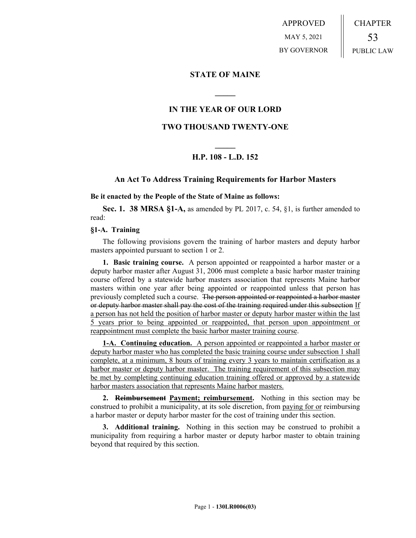APPROVED MAY 5, 2021 BY GOVERNOR CHAPTER 53 PUBLIC LAW

## **STATE OF MAINE**

## **IN THE YEAR OF OUR LORD**

**\_\_\_\_\_**

## **TWO THOUSAND TWENTY-ONE**

# **\_\_\_\_\_ H.P. 108 - L.D. 152**

### **An Act To Address Training Requirements for Harbor Masters**

#### **Be it enacted by the People of the State of Maine as follows:**

**Sec. 1. 38 MRSA §1-A,** as amended by PL 2017, c. 54, §1, is further amended to read:

### **§1-A. Training**

The following provisions govern the training of harbor masters and deputy harbor masters appointed pursuant to section 1 or 2.

**1. Basic training course.** A person appointed or reappointed a harbor master or a deputy harbor master after August 31, 2006 must complete a basic harbor master training course offered by a statewide harbor masters association that represents Maine harbor masters within one year after being appointed or reappointed unless that person has previously completed such a course. The person appointed or reappointed a harbor master or deputy harbor master shall pay the cost of the training required under this subsection If a person has not held the position of harbor master or deputy harbor master within the last 5 years prior to being appointed or reappointed, that person upon appointment or reappointment must complete the basic harbor master training course.

**1-A. Continuing education.** A person appointed or reappointed a harbor master or deputy harbor master who has completed the basic training course under subsection 1 shall complete, at a minimum, 8 hours of training every 3 years to maintain certification as a harbor master or deputy harbor master. The training requirement of this subsection may be met by completing continuing education training offered or approved by a statewide harbor masters association that represents Maine harbor masters.

**2. Reimbursement Payment; reimbursement.** Nothing in this section may be construed to prohibit a municipality, at its sole discretion, from paying for or reimbursing a harbor master or deputy harbor master for the cost of training under this section.

**3. Additional training.** Nothing in this section may be construed to prohibit a municipality from requiring a harbor master or deputy harbor master to obtain training beyond that required by this section.